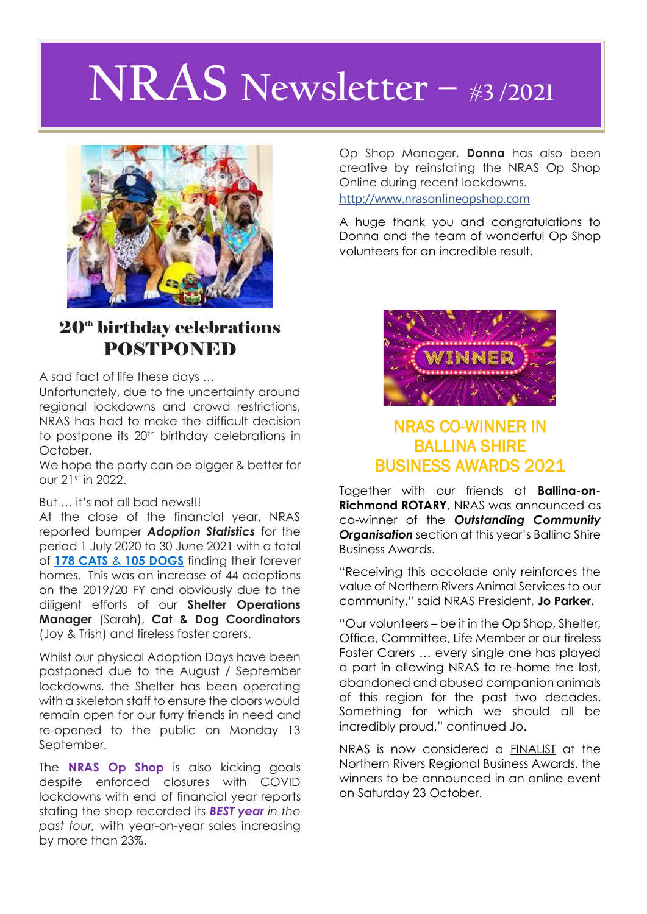# **NRAS Newsletter – #<sup>3</sup> /2021**



## $20<sup>th</sup>$  birthday celebrations POSTPONED

A sad fact of life these days …

Unfortunately, due to the uncertainty around regional lockdowns and crowd restrictions, NRAS has had to make the difficult decision to postpone its 20<sup>th</sup> birthday celebrations in October.

We hope the party can be bigger & better for our 21st in 2022.

#### But … it's not all bad news!!!

At the close of the financial year, NRAS reported bumper *Adoption Statistics* for the period 1 July 2020 to 30 June 2021 with a total of **178 CATS** & **105 DOGS** finding their forever homes. This was an increase of 44 adoptions on the 2019/20 FY and obviously due to the diligent efforts of our **Shelter Operations Manager** (Sarah), **Cat & Dog Coordinators** (Joy & Trish) and tireless foster carers.

Whilst our physical Adoption Days have been postponed due to the August / September lockdowns, the Shelter has been operating with a skeleton staff to ensure the doors would remain open for our furry friends in need and re-opened to the public on Monday 13 September.

The **NRAS Op Shop** is also kicking goals despite enforced closures with COVID lockdowns with end of financial year reports stating the shop recorded its *BEST year in the past four,* with year-on-year sales increasing by more than 23%.

Op Shop Manager, **Donna** has also been creative by reinstating the NRAS Op Shop Online during recent lockdowns.

[http://www.nrasonlineopshop.com](http://www.nrasonlineopshop.com/?fbclid=IwAR2FZllg3MwML9QBix94XYX5cthBTo5ZciIk14phGV75aqX9wE18Ac9gKEY)

A huge thank you and congratulations to Donna and the team of wonderful Op Shop volunteers for an incredible result.



#### NRAS CO-WINNER IN BALLINA SHIRE BUSINESS AWARDS 2021

Together with our friends at **Ballina-on-Richmond ROTARY**, NRAS was announced as co-winner of the *Outstanding Community Organisation* section at this year's Ballina Shire Business Awards.

"Receiving this accolade only reinforces the value of Northern Rivers Animal Services to our community," said NRAS President, **Jo Parker.**

"Our volunteers – be it in the Op Shop, Shelter, Office, Committee, Life Member or our tireless Foster Carers … every single one has played a part in allowing NRAS to re-home the lost, abandoned and abused companion animals of this region for the past two decades. Something for which we should all be incredibly proud," continued Jo.

NRAS is now considered a FINALIST at the Northern Rivers Regional Business Awards, the winners to be announced in an online event on Saturday 23 October.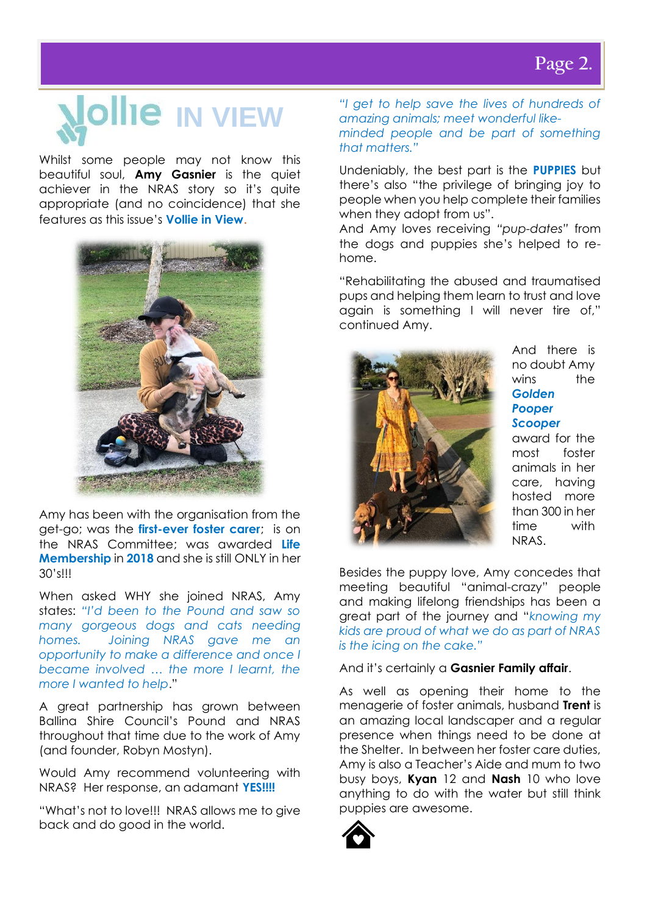# **Nollie** IN VIEW

Whilst some people may not know this beautiful soul, **Amy Gasnier** is the quiet achiever in the NRAS story so it's quite appropriate (and no coincidence) that she features as this issue's **Vollie in View**.



Amy has been with the organisation from the get-go; was the **first-ever foster carer**; is on the NRAS Committee; was awarded **Life Membership** in **2018** and she is still ONLY in her 30's!!!

When asked WHY she joined NRAS, Amy states: *"I'd been to the Pound and saw so many gorgeous dogs and cats needing homes. Joining NRAS gave me an opportunity to make a difference and once I became involved … the more I learnt, the more I wanted to help*."

A great partnership has grown between Ballina Shire Council's Pound and NRAS throughout that time due to the work of Amy (and founder, Robyn Mostyn).

Would Amy recommend volunteering with NRAS? Her response, an adamant **YES!!!!**

"What's not to love!!! NRAS allows me to give back and do good in the world.

*"I get to help save the lives of hundreds of amazing animals; meet wonderful likeminded people and be part of something that matters."*

Undeniably, the best part is the **PUPPIES** but there's also "the privilege of bringing joy to people when you help complete their families when they adopt from us".

And Amy loves receiving *"pup-dates"* from the dogs and puppies she's helped to rehome.

"Rehabilitating the abused and traumatised pups and helping them learn to trust and love again is something I will never tire of," continued Amy.



And there is no doubt Amy wins the *Golden Pooper Scooper*

award for the most foster animals in her care, having hosted more than 300 in her time with NRAS.

Besides the puppy love, Amy concedes that meeting beautiful "animal-crazy" people and making lifelong friendships has been a great part of the journey and "*knowing my kids are proud of what we do as part of NRAS is the icing on the cake."*

#### And it's certainly a **Gasnier Family affair**.

As well as opening their home to the menagerie of foster animals, husband **Trent** is an amazing local landscaper and a regular presence when things need to be done at the Shelter. In between her foster care duties, Amy is also a Teacher's Aide and mum to two busy boys, **Kyan** 12 and **Nash** 10 who love anything to do with the water but still think puppies are awesome.

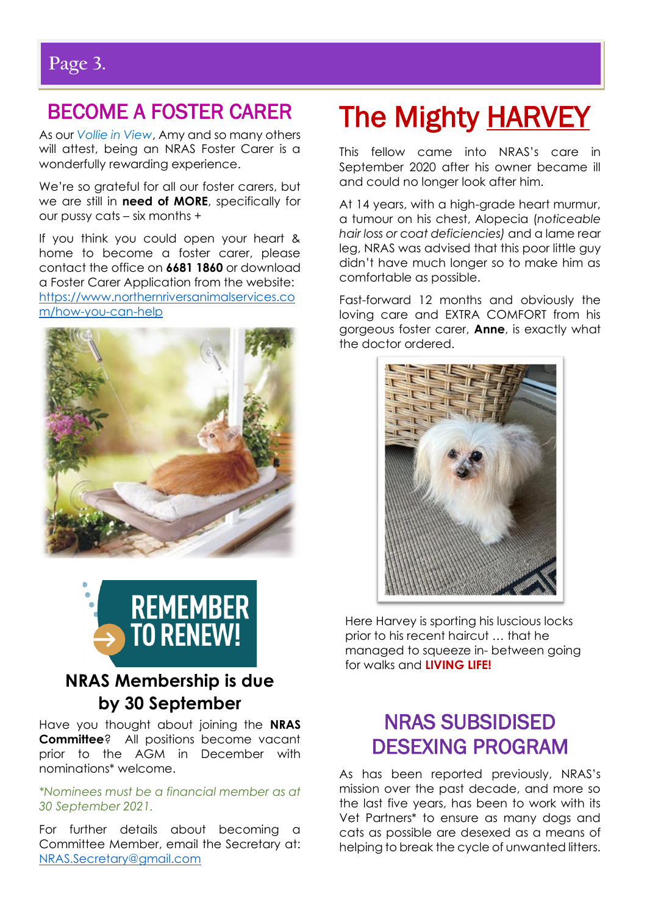j

# BECOME A FOSTER CARER

As our *Vollie in View*, Amy and so many others will attest, being an NRAS Foster Carer is a wonderfully rewarding experience.

We're so grateful for all our foster carers, but we are still in **need of MORE**, specifically for our pussy cats – six months +

If you think you could open your heart & home to become a foster carer, please contact the office on **6681 1860** or download a Foster Carer Application from the website: [https://www.northernriversanimalservices.co](https://www.northernriversanimalservices.com/how-you-can-help) [m/how-you-can-help](https://www.northernriversanimalservices.com/how-you-can-help)





## **NRAS Membership is due by 30 September**

Have you thought about joining the **NRAS Committee**? All positions become vacant prior to the AGM in December with nominations\* welcome.

#### *\*Nominees must be a financial member as at 30 September 2021.*

For further details about becoming a Committee Member, email the Secretary at: [NRAS.Secretary@gmail.com](mailto:NRAS.Secretary@gmail.com)

# The Mighty HARVEY

This fellow came into NRAS's care in September 2020 after his owner became ill and could no longer look after him.

At 14 years, with a high-grade heart murmur, a tumour on his chest, Alopecia (*noticeable hair loss or coat deficiencies)* and a lame rear leg, NRAS was advised that this poor little guy didn't have much longer so to make him as comfortable as possible.

Fast-forward 12 months and obviously the loving care and EXTRA COMFORT from his gorgeous foster carer, **Anne**, is exactly what the doctor ordered.



Here Harvey is sporting his luscious locks prior to his recent haircut … that he managed to squeeze in- between going for walks and **LIVING LIFE!**

# NRAS SUBSIDISED DESEXING PROGRAM

As has been reported previously, NRAS's mission over the past decade, and more so the last five years, has been to work with its Vet Partners\* to ensure as many dogs and cats as possible are desexed as a means of helping to break the cycle of unwanted litters.